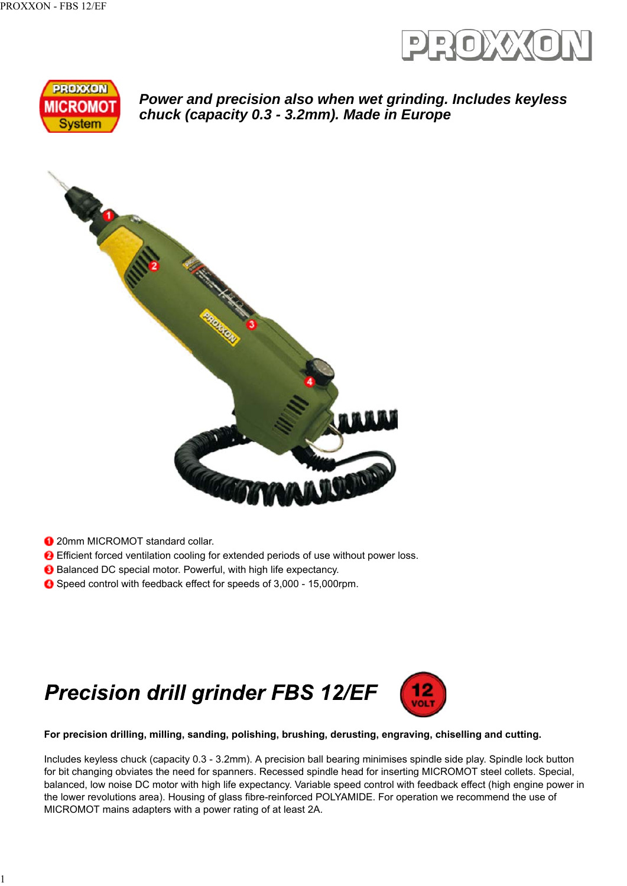



*Power and precision also when wet grinding. Includes keyless chuck (capacity 0.3 - 3.2mm). Made in Europe*



**1** 20mm MICROMOT standard collar.

1

- Efficient forced ventilation cooling for extended periods of use without power loss.
- **B** Balanced DC special motor. Powerful, with high life expectancy.
- Speed control with feedback effect for speeds of 3,000 15,000rpm.

## **Precision drill grinder FBS 12/EF**



**For precision drilling, milling, sanding, polishing, brushing, derusting, engraving, chiselling and cutting.**

Includes keyless chuck (capacity 0.3 - 3.2mm). A precision ball bearing minimises spindle side play. Spindle lock button for bit changing obviates the need for spanners. Recessed spindle head for inserting MICROMOT steel collets. Special, balanced, low noise DC motor with high life expectancy. Variable speed control with feedback effect (high engine power in the lower revolutions area). Housing of glass fibre-reinforced POLYAMIDE. For operation we recommend the use of MICROMOT mains adapters with a power rating of at least 2A.